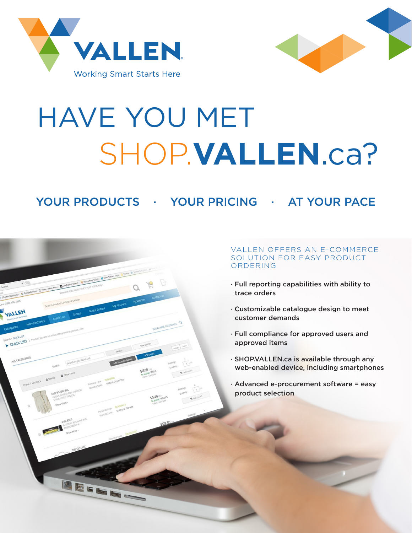



# HAVE YOU MET SHOP.**VALLEN**.ca?

YOUR PRODUCTS · YOUR PRICING · AT YOUR PACE



### VALLEN OFFERS AN E-COMMERCE SOLUTION FOR EASY PRODUCT ORDERING

- · Full reporting capabilities with ability to trace orders
- · Customizable catalogue design to meet customer demands
- · Full compliance for approved users and approved items
- · SHOP.VALLEN.ca is available through any web-enabled device, including smartphones
- · Advanced e-procurement software = easy product selection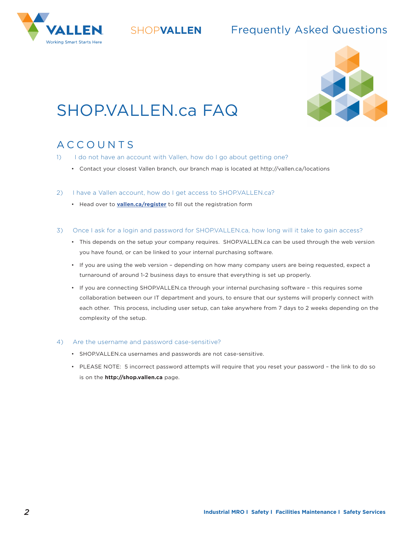



## ® Frequently Asked Questions SHOP**VALLEN**



# SHOP.VALLEN.ca FAQ

## ACCOUNTS

- 1) I do not have an account with Vallen, how do I go about getting one?
	- Contact your closest Vallen branch, our branch map is located at http://vallen.ca/locations
- 2) I have a Vallen account, how do I get access to SHOP.VALLEN.ca?
	- Head over to **vallen.ca/register** to fill out the registration form
- 3) Once I ask for a login and password for SHOP.VALLEN.ca, how long will it take to gain access?
	- This depends on the setup your company requires. SHOP.VALLEN.ca can be used through the web version you have found, or can be linked to your internal purchasing software.
	- If you are using the web version depending on how many company users are being requested, expect a turnaround of around 1-2 business days to ensure that everything is set up properly.
	- If you are connecting SHOP.VALLEN.ca through your internal purchasing software this requires some collaboration between our IT department and yours, to ensure that our systems will properly connect with each other. This process, including user setup, can take anywhere from 7 days to 2 weeks depending on the complexity of the setup.

#### 4) Are the username and password case-sensitive?

- SHOP.VALLEN.ca usernames and passwords are not case-sensitive.
- PLEASE NOTE: 5 incorrect password attempts will require that you reset your password the link to do so is on the **http://shop.vallen.ca** page.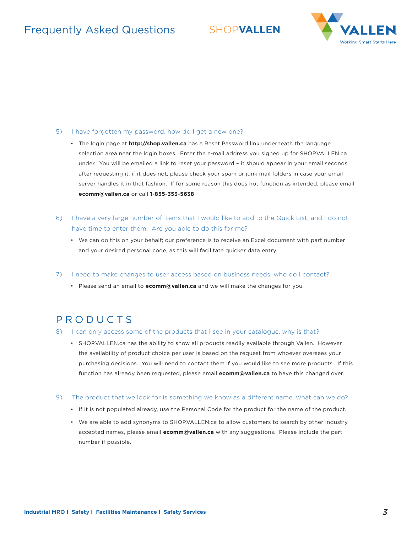## Frequently Asked Questions SHOP**VALLEN**



#### 5) I have forgotten my password, how do I get a new one?

- The login page at **http://shop.vallen.ca** has a Reset Password link underneath the language selection area near the login boxes. Enter the e-mail address you signed up for SHOP.VALLEN.ca under. You will be emailed a link to reset your password – it should appear in your email seconds after requesting it, if it does not, please check your spam or junk mail folders in case your email server handles it in that fashion. If for some reason this does not function as intended, please email **ecomm@vallen.ca** or call **1-855-353-5638**
- 6) I have a very large number of items that I would like to add to the Quick List, and I do not have time to enter them. Are you able to do this for me?
	- We can do this on your behalf; our preference is to receive an Excel document with part number and your desired personal code, as this will facilitate quicker data entry.
- 7) I need to make changes to user access based on business needs, who do I contact?
	- Please send an email to **ecomm@vallen.ca** and we will make the changes for you.

## PRODUCTS

- 8) I can only access some of the products that I see in your catalogue, why is that?
	- SHOP.VALLEN.ca has the ability to show all products readily available through Vallen. However, the availability of product choice per user is based on the request from whoever oversees your purchasing decisions. You will need to contact them if you would like to see more products. If this function has already been requested, please email **ecomm@vallen.ca** to have this changed over.
- 9) The product that we look for is something we know as a different name, what can we do?
	- If it is not populated already, use the Personal Code for the product for the name of the product.
	- We are able to add synonyms to SHOP.VALLEN.ca to allow customers to search by other industry accepted names, please email **ecomm@vallen.ca** with any suggestions. Please include the part number if possible.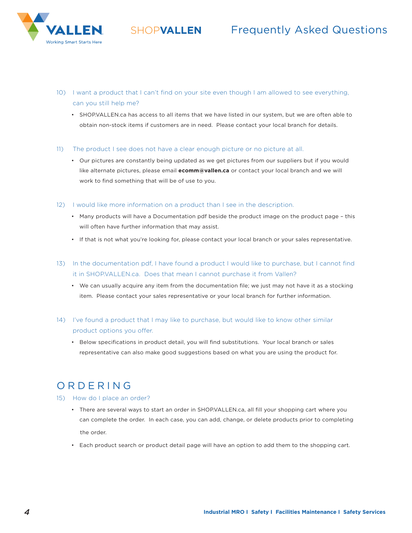

- ® Frequently Asked Questions SHOP**VALLEN**
- 10) I want a product that I can't find on your site even though I am allowed to see everything, can you still help me?
	- SHOP.VALLEN.ca has access to all items that we have listed in our system, but we are often able to obtain non-stock items if customers are in need. Please contact your local branch for details.
- 11) The product I see does not have a clear enough picture or no picture at all.
	- Our pictures are constantly being updated as we get pictures from our suppliers but if you would like alternate pictures, please email **ecomm@vallen.ca** or contact your local branch and we will work to find something that will be of use to you.
- 12) I would like more information on a product than I see in the description.
	- Many products will have a Documentation pdf beside the product image on the product page this will often have further information that may assist.
	- If that is not what you're looking for, please contact your local branch or your sales representative.
- 13) In the documentation pdf, I have found a product I would like to purchase, but I cannot find it in SHOP.VALLEN.ca. Does that mean I cannot purchase it from Vallen?
	- We can usually acquire any item from the documentation file; we just may not have it as a stocking item. Please contact your sales representative or your local branch for further information.
- 14) I've found a product that I may like to purchase, but would like to know other similar product options you offer.
	- Below specifications in product detail, you will find substitutions. Your local branch or sales representative can also make good suggestions based on what you are using the product for.

## ORDERING

- 15) How do I place an order?
	- There are several ways to start an order in SHOP.VALLEN.ca, all fill your shopping cart where you can complete the order. In each case, you can add, change, or delete products prior to completing the order.
	- Each product search or product detail page will have an option to add them to the shopping cart.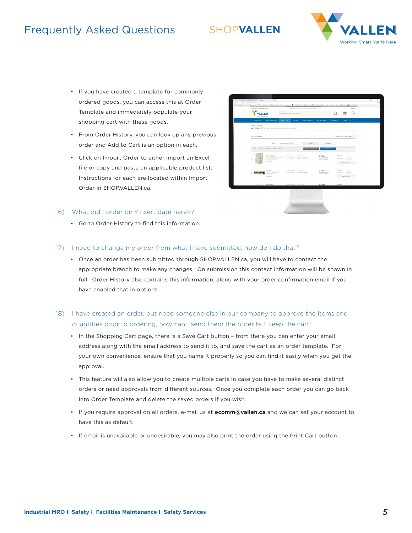## **Frequently Asked Questions**

## SHOP**VALLEN**



- If you have created a template for commonly ordered goods, you can access this at Order Template and immediately populate your shopping cart with these goods.
- From Order History, you can look up any previous order and Add to Cart is an option in each.
- Click on Import Order to either import an Excel file or copy and paste an applicable product list. Instructions for each are located within Import Order in SHOP.VALLEN.ca.

#### 16) What did I order on <insert date here>?

• Go to Order History to find this information.



#### 17) I need to change my order from what I have submitted, how do I do that?

- Once an order has been submitted through SHOP.VALLEN.ca, you will have to contact the appropriate branch to make any changes. On submission this contact information will be shown in full. Order History also contains this information, along with your order confirmation email if you have enabled that in options.
- 18) I have created an order, but need someone else in our company to approve the items and quantities prior to ordering, how can I send them the order but keep the cart?
	- In the Shopping Cart page, there is a Save Cart button from there you can enter your email address along with the email address to send it to, and save the cart as an order template. For your own convenience, ensure that you name it properly so you can find it easily when you get the approval.
	- This feature will also allow you to create multiple carts in case you have to make several distinct orders or need approvals from different sources. Once you complete each order you can go back into Order Template and delete the saved orders if you wish.
	- If you require approval on all orders, e-mail us at **ecomm@vallen.ca** and we can set your account to have this as default.
	- If email is unavailable or undesirable, you may also print the order using the Print Cart button.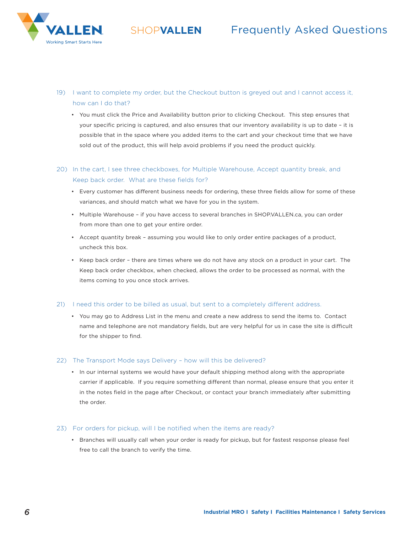



- 19) I want to complete my order, but the Checkout button is greyed out and I cannot access it, how can I do that?
	- You must click the Price and Availability button prior to clicking Checkout. This step ensures that your specific pricing is captured, and also ensures that our inventory availability is up to date – it is possible that in the space where you added items to the cart and your checkout time that we have sold out of the product, this will help avoid problems if you need the product quickly.

## 20) In the cart, I see three checkboxes, for Multiple Warehouse, Accept quantity break, and Keep back order. What are these fields for?

- Every customer has different business needs for ordering, these three fields allow for some of these variances, and should match what we have for you in the system.
- Multiple Warehouse if you have access to several branches in SHOP.VALLEN.ca, you can order from more than one to get your entire order.
- Accept quantity break assuming you would like to only order entire packages of a product, uncheck this box.
- Keep back order there are times where we do not have any stock on a product in your cart. The Keep back order checkbox, when checked, allows the order to be processed as normal, with the items coming to you once stock arrives.

#### 21) I need this order to be billed as usual, but sent to a completely different address.

• You may go to Address List in the menu and create a new address to send the items to. Contact name and telephone are not mandatory fields, but are very helpful for us in case the site is difficult for the shipper to find.

#### 22) The Transport Mode says Delivery – how will this be delivered?

• In our internal systems we would have your default shipping method along with the appropriate carrier if applicable. If you require something different than normal, please ensure that you enter it in the notes field in the page after Checkout, or contact your branch immediately after submitting the order.

#### 23) For orders for pickup, will I be notified when the items are ready?

• Branches will usually call when your order is ready for pickup, but for fastest response please feel free to call the branch to verify the time.